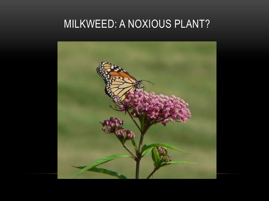#### MILKWEED: A NOXIOUS PLANT?

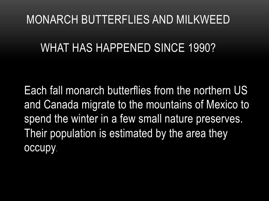### MONARCH BUTTERFLIES AND MILKWEED

#### WHAT HAS HAPPENED SINCE 1990?

Each fall monarch butterflies from the northern US and Canada migrate to the mountains of Mexico to spend the winter in a few small nature preserves. Their population is estimated by the area they occupy.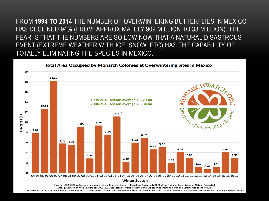FROM **1994 TO 2014** THE NUMBER OF OVERWINTERING BUTTERFLIES IN MEXICO HAS DECLINED 94% (FROM APPROXIMATELY 909 MILLION TO 33 MILLION). THE FEAR IS THAT THE NUMBERS ARE SO LOW NOW THAT A NATURAL DISASTROUS EVENT (EXTREME WEATHER WITH ICE, SNOW, ETC) HAS THE CAPABILITY OF TOTALLY ELIMINATING THE SPECIES IN MEXICO.



Data for 1994-2003 collected by personnel of the Monarch Butterfly Biosphere Reserve (MBBR) of the National Commission of Natural Protected Areas (CONANP) in Mexico. Data for 2003-2016 collected by World Wildlife Fund Mexico in coordination with the Directorate of the MBBR. \* Represents colony sizes measured in November of 2003 before the colonies consolidated. Measures obtained in January 2004 indicated the population was much smaller, possibly 8-9 hectares. CT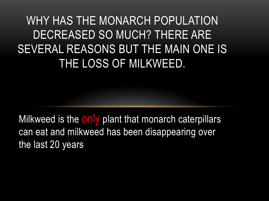WHY HAS THE MONARCH POPULATION DECREASED SO MUCH? THERE ARE SEVERAL REASONS BUT THE MAIN ONE IS THE LOSS OF MILKWEED.

Milkweed is the only plant that monarch caterpillars can eat and milkweed has been disappearing over the last 20 years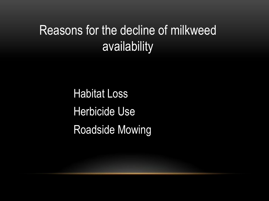## Reasons for the decline of milkweed availability

Habitat Loss Herbicide Use Roadside Mowing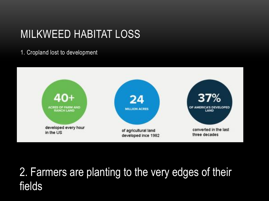#### MILKWEED HABITAT LOSS

1. Cropland lost to development



### 2. Farmers are planting to the very edges of their fields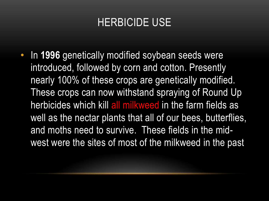#### HERBICIDE USE

• In **1996** genetically modified soybean seeds were introduced, followed by corn and cotton. Presently nearly 100% of these crops are genetically modified. These crops can now withstand spraying of Round Up herbicides which kill all milkweed in the farm fields as well as the nectar plants that all of our bees, butterflies, and moths need to survive. These fields in the midwest were the sites of most of the milkweed in the past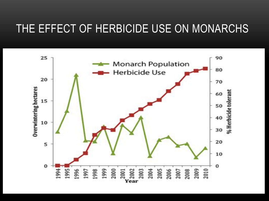#### THE EFFECT OF HERBICIDE USE ON MONARCHS

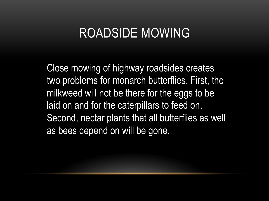### ROADSIDE MOWING

Close mowing of highway roadsides creates two problems for monarch butterflies. First, the milkweed will not be there for the eggs to be laid on and for the caterpillars to feed on. Second, nectar plants that all butterflies as well as bees depend on will be gone.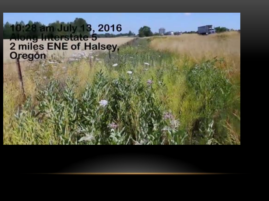# 10:28 am July 13, 2016<br>Along Interstate 5<br>2 miles ENE of Halsey,<br>Oregon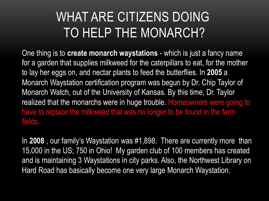# WHAT ARE CITIZENS DOING TO HELP THE MONARCH?

One thing is to **create monarch waystations** - which is just a fancy name for a garden that supplies milkweed for the caterpillars to eat, for the mother to lay her eggs on, and nectar plants to feed the butterflies. In **2005** a Monarch Waystation certification program was begun by Dr. Chip Taylor of Monarch Watch, out of the University of Kansas. By this time, Dr. Taylor realized that the monarchs were in huge trouble. Homeowners were going to have to replace the milkweed that was no longer to be found in the farm fields.

In **2008** , our family's Waystation was #1,898. There are currently more than 15,000 in the US; 750 in Ohio! My garden club of 100 members has created and is maintaining 3 Waystations in city parks. Also, the Northwest Library on Hard Road has basically become one very large Monarch Waystation.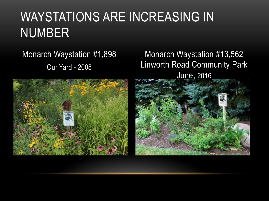# WAYSTATIONS ARE INCREASING IN NUMBER

Monarch Waystation #1,898 Our Yard - 2008

#### Monarch Waystation #13,562 Linworth Road Community Park June, 2016



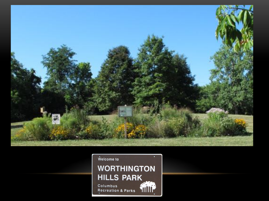

Welcome to

**WORTHINGTON HILLS PARK** Columbus

**TILLI** F

Recreation & Parks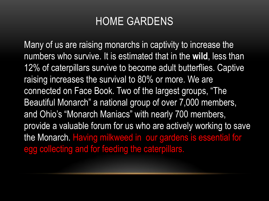#### HOME GARDENS

Many of us are raising monarchs in captivity to increase the numbers who survive. It is estimated that in the **wild**, less than 12% of caterpillars survive to become adult butterflies. Captive raising increases the survival to 80% or more. We are connected on Face Book. Two of the largest groups, "The Beautiful Monarch" a national group of over 7,000 members, and Ohio's "Monarch Maniacs" with nearly 700 members, provide a valuable forum for us who are actively working to save the Monarch. Having milkweed in our gardens is essential for egg collecting and for feeding the caterpillars.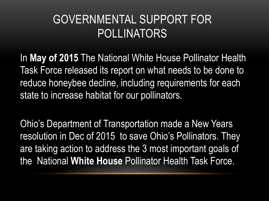### GOVERNMENTAL SUPPORT FOR POLLINATORS

In **May of 2015** The National White House Pollinator Health Task Force released its report on what needs to be done to reduce honeybee decline, including requirements for each state to increase habitat for our pollinators.

Ohio's Department of Transportation made a New Years resolution in Dec of 2015 to save Ohio's Pollinators. They are taking action to address the 3 most important goals of the National **White House** Pollinator Health Task Force.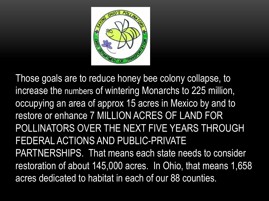

Those goals are to reduce honey bee colony collapse, to increase the numbers of wintering Monarchs to 225 million, occupying an area of approx 15 acres in Mexico by and to restore or enhance 7 MILLION ACRES OF LAND FOR POLLINATORS OVER THE NEXT FIVE YEARS THROUGH FEDERAL ACTIONS AND PUBLIC-PRIVATE PARTNERSHIPS. That means each state needs to consider restoration of about 145,000 acres. In Ohio, that means 1,658 acres dedicated to habitat in each of our 88 counties.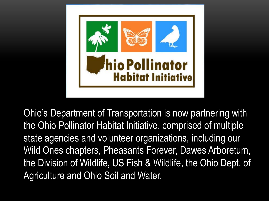

Ohio's Department of Transportation is now partnering with the Ohio Pollinator Habitat Initiative, comprised of multiple state agencies and volunteer organizations, including our Wild Ones chapters, Pheasants Forever, Dawes Arboretum, the Division of Wildlife, US Fish & Wildlife, the Ohio Dept. of Agriculture and Ohio Soil and Water.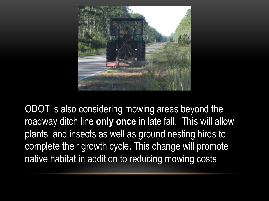

ODOT is also considering mowing areas beyond the roadway ditch line **only once** in late fall. This will allow plants and insects as well as ground nesting birds to complete their growth cycle. This change will promote native habitat in addition to reducing mowing costs.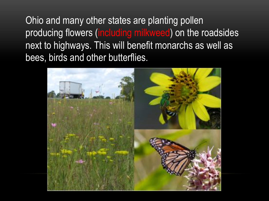Ohio and many other states are planting pollen producing flowers (including milkweed) on the roadsides next to highways. This will benefit monarchs as well as bees, birds and other butterflies.